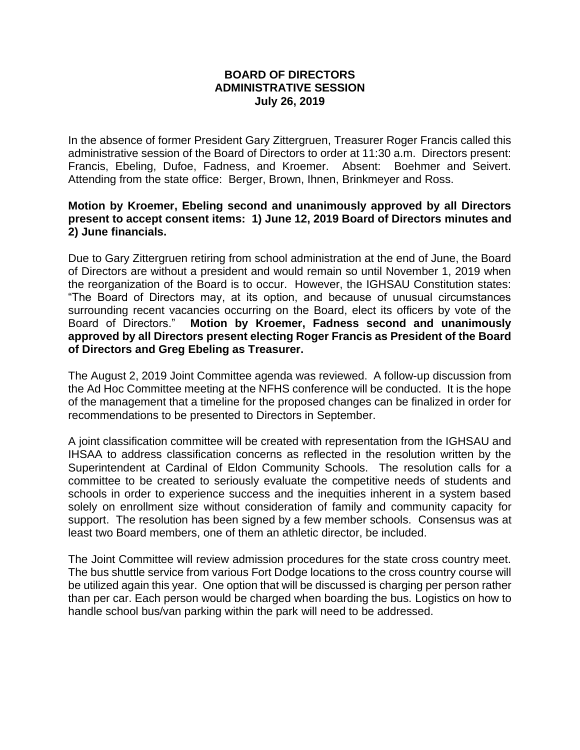## **BOARD OF DIRECTORS ADMINISTRATIVE SESSION July 26, 2019**

In the absence of former President Gary Zittergruen, Treasurer Roger Francis called this administrative session of the Board of Directors to order at 11:30 a.m. Directors present: Francis, Ebeling, Dufoe, Fadness, and Kroemer. Absent: Boehmer and Seivert. Attending from the state office: Berger, Brown, Ihnen, Brinkmeyer and Ross.

## **Motion by Kroemer, Ebeling second and unanimously approved by all Directors present to accept consent items: 1) June 12, 2019 Board of Directors minutes and 2) June financials.**

Due to Gary Zittergruen retiring from school administration at the end of June, the Board of Directors are without a president and would remain so until November 1, 2019 when the reorganization of the Board is to occur. However, the IGHSAU Constitution states: "The Board of Directors may, at its option, and because of unusual circumstances surrounding recent vacancies occurring on the Board, elect its officers by vote of the Board of Directors." **Motion by Kroemer, Fadness second and unanimously approved by all Directors present electing Roger Francis as President of the Board of Directors and Greg Ebeling as Treasurer.**

The August 2, 2019 Joint Committee agenda was reviewed. A follow-up discussion from the Ad Hoc Committee meeting at the NFHS conference will be conducted. It is the hope of the management that a timeline for the proposed changes can be finalized in order for recommendations to be presented to Directors in September.

A joint classification committee will be created with representation from the IGHSAU and IHSAA to address classification concerns as reflected in the resolution written by the Superintendent at Cardinal of Eldon Community Schools. The resolution calls for a committee to be created to seriously evaluate the competitive needs of students and schools in order to experience success and the inequities inherent in a system based solely on enrollment size without consideration of family and community capacity for support. The resolution has been signed by a few member schools. Consensus was at least two Board members, one of them an athletic director, be included.

The Joint Committee will review admission procedures for the state cross country meet. The bus shuttle service from various Fort Dodge locations to the cross country course will be utilized again this year. One option that will be discussed is charging per person rather than per car. Each person would be charged when boarding the bus. Logistics on how to handle school bus/van parking within the park will need to be addressed.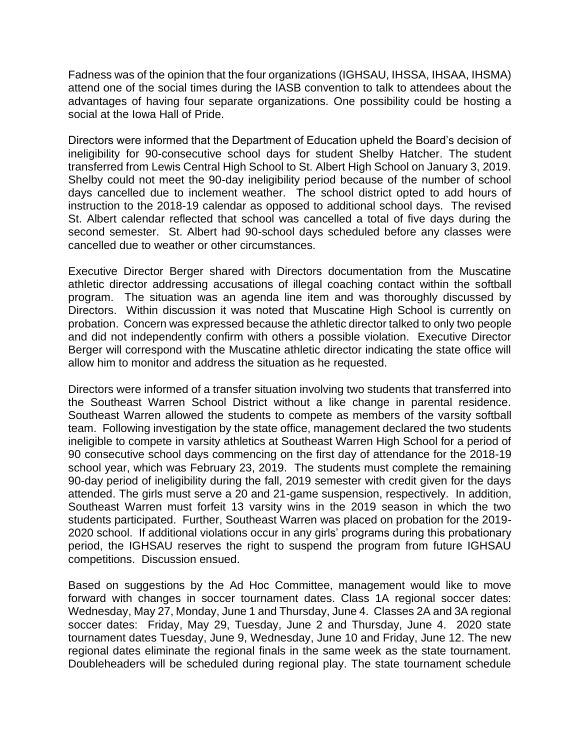Fadness was of the opinion that the four organizations (IGHSAU, IHSSA, IHSAA, IHSMA) attend one of the social times during the IASB convention to talk to attendees about the advantages of having four separate organizations. One possibility could be hosting a social at the Iowa Hall of Pride.

Directors were informed that the Department of Education upheld the Board's decision of ineligibility for 90-consecutive school days for student Shelby Hatcher. The student transferred from Lewis Central High School to St. Albert High School on January 3, 2019. Shelby could not meet the 90-day ineligibility period because of the number of school days cancelled due to inclement weather. The school district opted to add hours of instruction to the 2018-19 calendar as opposed to additional school days. The revised St. Albert calendar reflected that school was cancelled a total of five days during the second semester. St. Albert had 90-school days scheduled before any classes were cancelled due to weather or other circumstances.

Executive Director Berger shared with Directors documentation from the Muscatine athletic director addressing accusations of illegal coaching contact within the softball program. The situation was an agenda line item and was thoroughly discussed by Directors. Within discussion it was noted that Muscatine High School is currently on probation. Concern was expressed because the athletic director talked to only two people and did not independently confirm with others a possible violation. Executive Director Berger will correspond with the Muscatine athletic director indicating the state office will allow him to monitor and address the situation as he requested.

Directors were informed of a transfer situation involving two students that transferred into the Southeast Warren School District without a like change in parental residence. Southeast Warren allowed the students to compete as members of the varsity softball team. Following investigation by the state office, management declared the two students ineligible to compete in varsity athletics at Southeast Warren High School for a period of 90 consecutive school days commencing on the first day of attendance for the 2018-19 school year, which was February 23, 2019. The students must complete the remaining 90-day period of ineligibility during the fall, 2019 semester with credit given for the days attended. The girls must serve a 20 and 21-game suspension, respectively. In addition, Southeast Warren must forfeit 13 varsity wins in the 2019 season in which the two students participated. Further, Southeast Warren was placed on probation for the 2019- 2020 school. If additional violations occur in any girls' programs during this probationary period, the IGHSAU reserves the right to suspend the program from future IGHSAU competitions. Discussion ensued.

Based on suggestions by the Ad Hoc Committee, management would like to move forward with changes in soccer tournament dates. Class 1A regional soccer dates: Wednesday, May 27, Monday, June 1 and Thursday, June 4. Classes 2A and 3A regional soccer dates: Friday, May 29, Tuesday, June 2 and Thursday, June 4. 2020 state tournament dates Tuesday, June 9, Wednesday, June 10 and Friday, June 12. The new regional dates eliminate the regional finals in the same week as the state tournament. Doubleheaders will be scheduled during regional play. The state tournament schedule